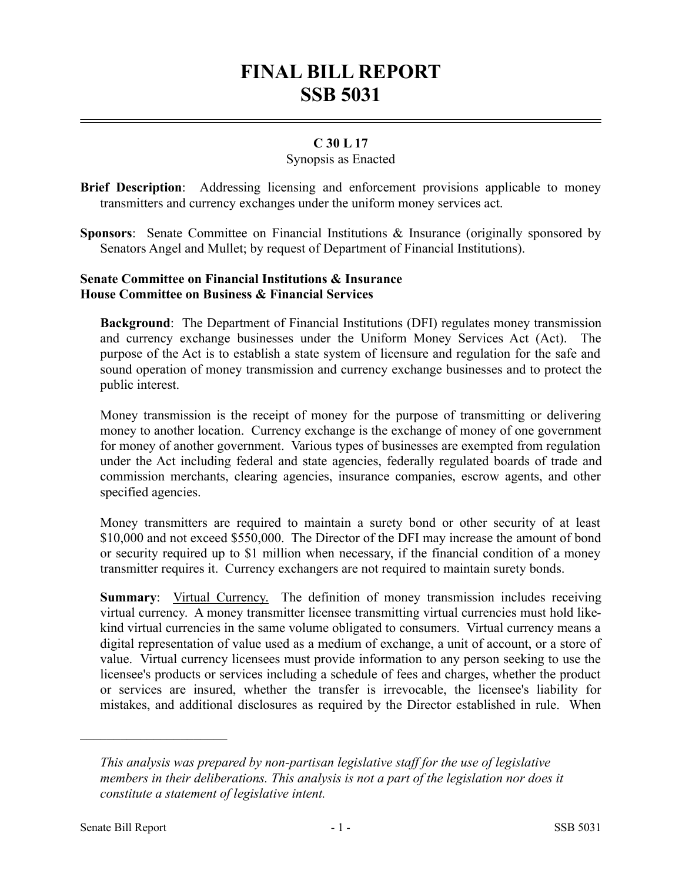# **FINAL BILL REPORT SSB 5031**

# **C 30 L 17**

#### Synopsis as Enacted

- **Brief Description**: Addressing licensing and enforcement provisions applicable to money transmitters and currency exchanges under the uniform money services act.
- **Sponsors**: Senate Committee on Financial Institutions & Insurance (originally sponsored by Senators Angel and Mullet; by request of Department of Financial Institutions).

### **Senate Committee on Financial Institutions & Insurance House Committee on Business & Financial Services**

**Background**: The Department of Financial Institutions (DFI) regulates money transmission and currency exchange businesses under the Uniform Money Services Act (Act). The purpose of the Act is to establish a state system of licensure and regulation for the safe and sound operation of money transmission and currency exchange businesses and to protect the public interest.

Money transmission is the receipt of money for the purpose of transmitting or delivering money to another location. Currency exchange is the exchange of money of one government for money of another government. Various types of businesses are exempted from regulation under the Act including federal and state agencies, federally regulated boards of trade and commission merchants, clearing agencies, insurance companies, escrow agents, and other specified agencies.

Money transmitters are required to maintain a surety bond or other security of at least \$10,000 and not exceed \$550,000. The Director of the DFI may increase the amount of bond or security required up to \$1 million when necessary, if the financial condition of a money transmitter requires it. Currency exchangers are not required to maintain surety bonds.

**Summary:** Virtual Currency. The definition of money transmission includes receiving virtual currency. A money transmitter licensee transmitting virtual currencies must hold likekind virtual currencies in the same volume obligated to consumers. Virtual currency means a digital representation of value used as a medium of exchange, a unit of account, or a store of value. Virtual currency licensees must provide information to any person seeking to use the licensee's products or services including a schedule of fees and charges, whether the product or services are insured, whether the transfer is irrevocable, the licensee's liability for mistakes, and additional disclosures as required by the Director established in rule. When

––––––––––––––––––––––

*This analysis was prepared by non-partisan legislative staff for the use of legislative members in their deliberations. This analysis is not a part of the legislation nor does it constitute a statement of legislative intent.*